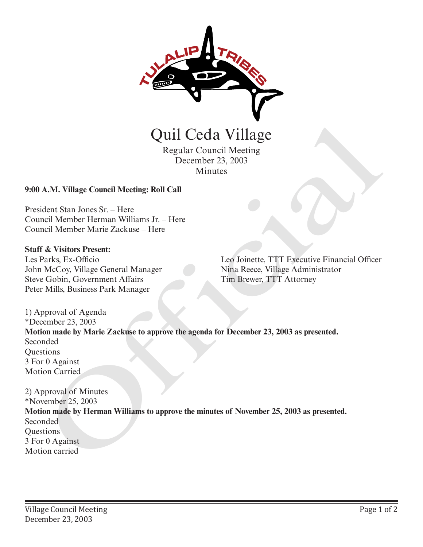

Regular Council Meeting December 23, 2003 Minutes

## **9:00 A.M. Village Council Meeting: Roll Call**

President Stan Jones Sr. – Here Council Member Herman Williams Jr. – Here Council Member Marie Zackuse – Here

## **Staff & Visitors Present:**

Les Parks, Ex-Officio John McCoy, Village General Manager Steve Gobin, Government Affairs Peter Mills, Business Park Manager

Leo Joinette, TTT Executive Financial Officer Nina Reece, Village Administrator Tim Brewer, TTT Attorney

1) Approval of Agenda \*December 23, 2003 **Motion made by Marie Zackuse to approve the agenda for December 23, 2003 as presented.** Seconded **Ouestions** 3 For 0 Against Motion Carried

2) Approval of Minutes \*November 25, 2003 **Motion made by Herman Williams to approve the minutes of November 25, 2003 as presented.** Seconded **Questions** 3 For 0 Against **Carried Regular Council Meeting<br>
Regular Council Meeting<br>
December 23, 2003<br>
Minutes<br>
20:00 A.M. Village Council Meeting: Roll Call<br>
President Stan Jones Sr. – Here<br>
Council Member Herman Williams Jr. – Here<br>
ESTR & Visit**